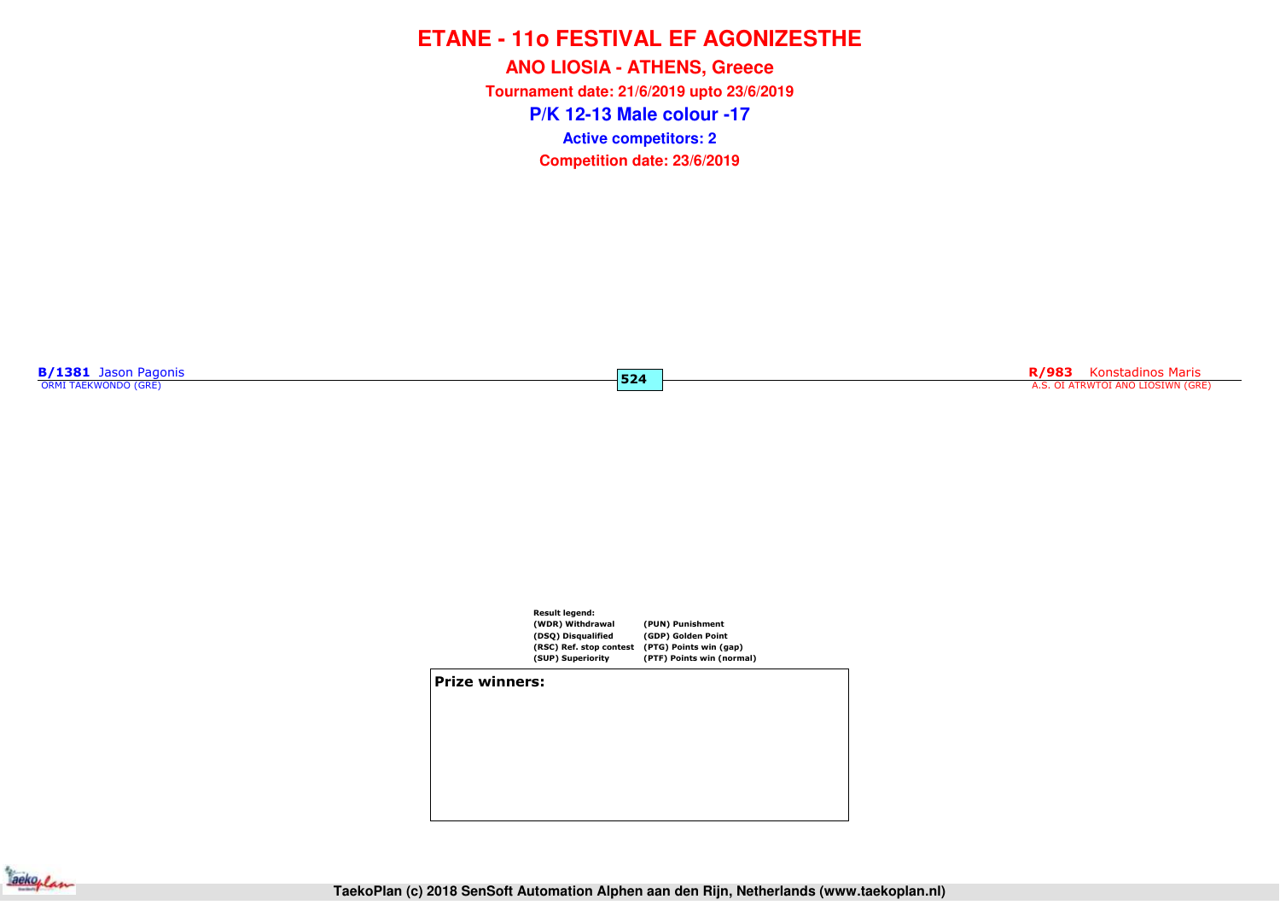**P/K 12-13 Male colour -17ANO LIOSIA - ATHENS, Greece Tournament date: 21/6/2019 upto 23/6/2019Competition date: 23/6/2019 Active competitors: 2**

**524**

**B/1381** Jason Pagonis<br>
ORMI TAEKWONDO (GRE)

**R/983** Konstadinos Maris<br>A.S. OI ATRWTOI ANO LIOSIWN (GRE)



#### **Prize winners:**

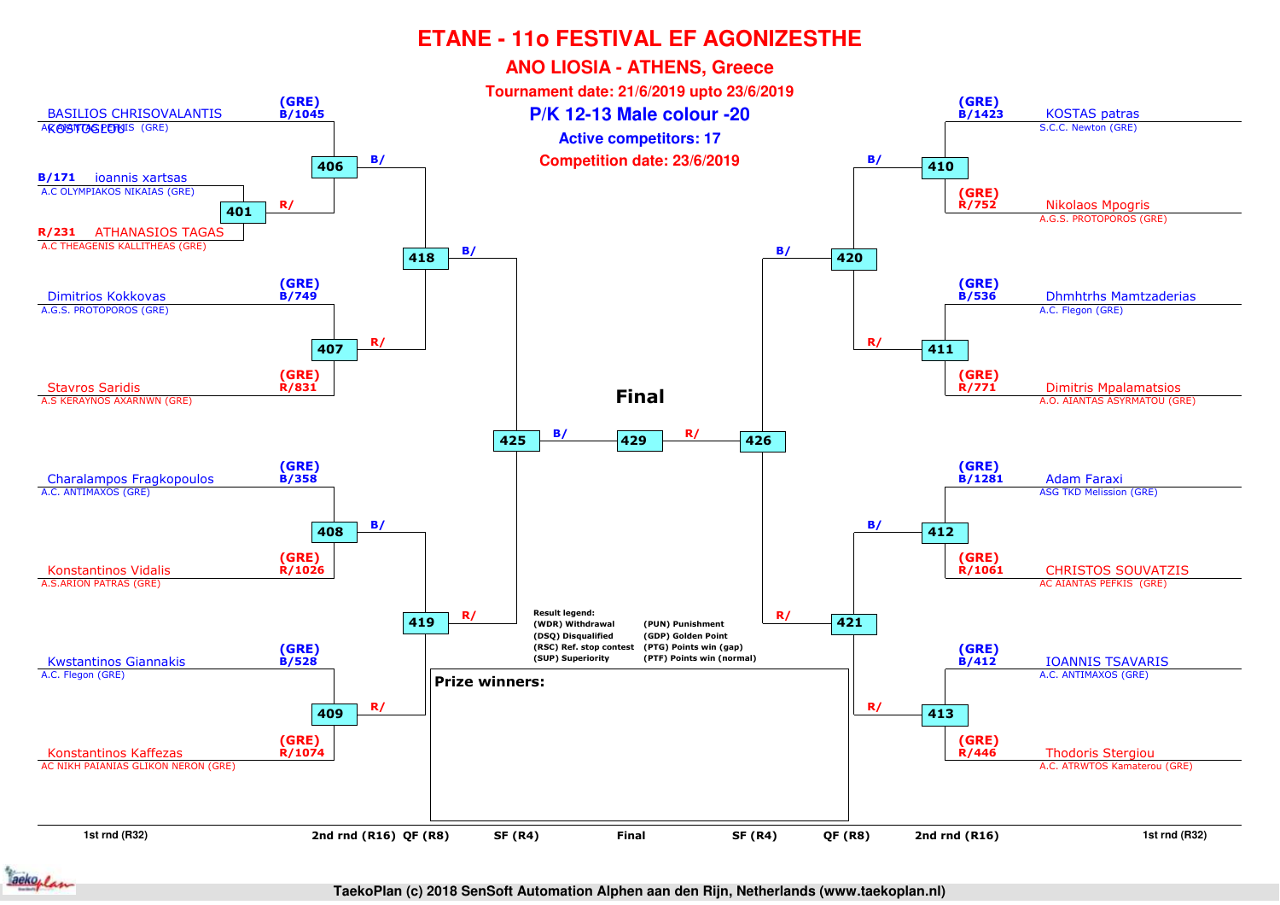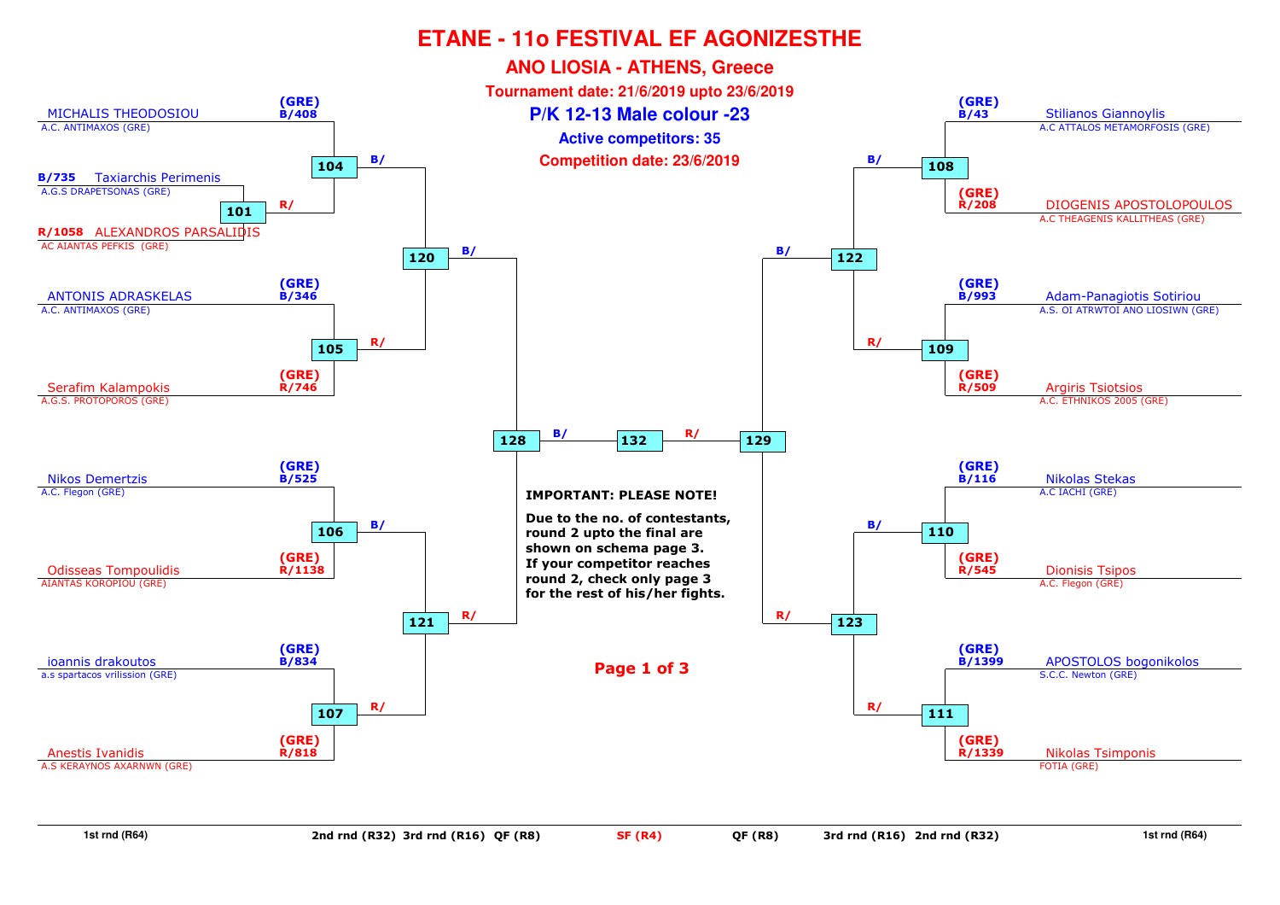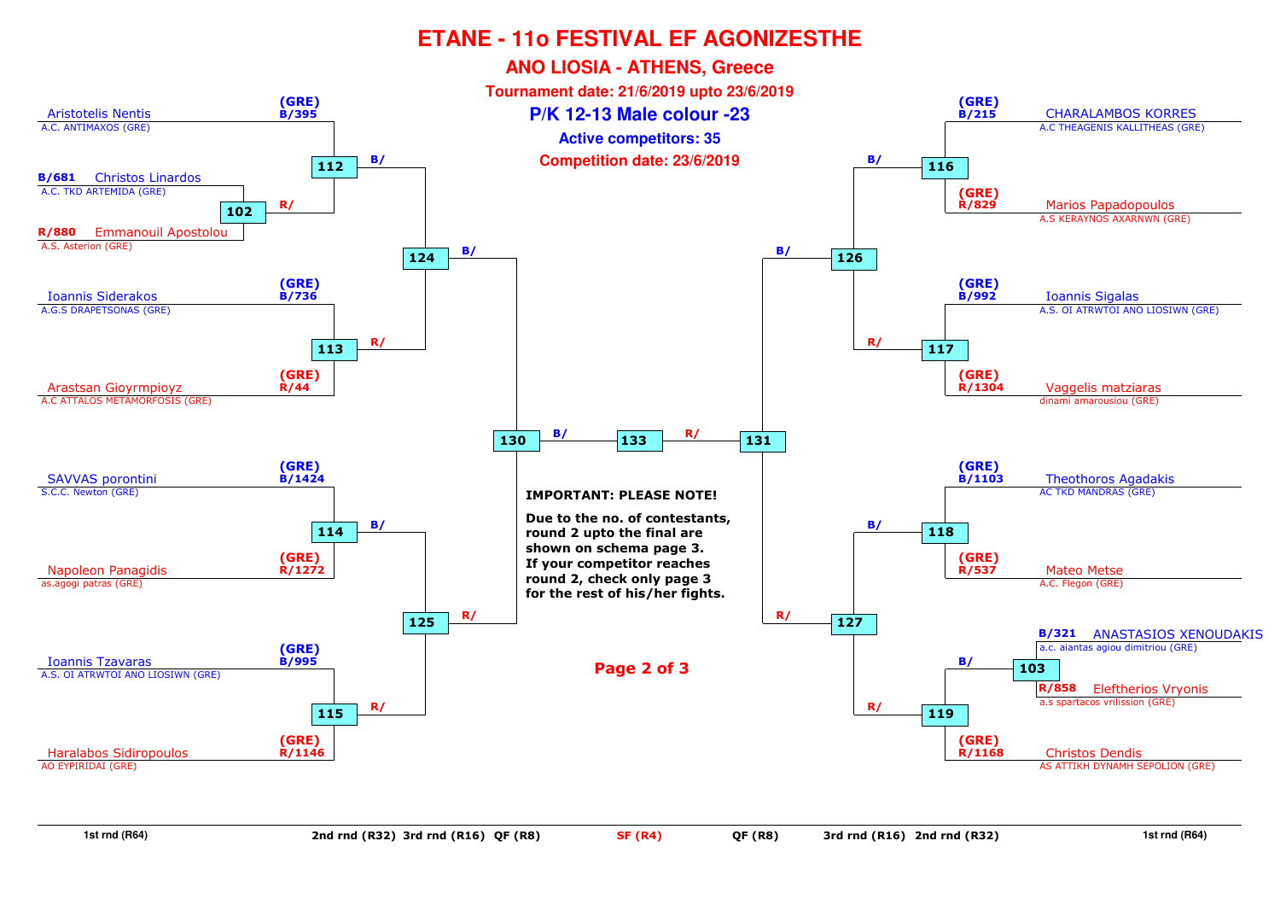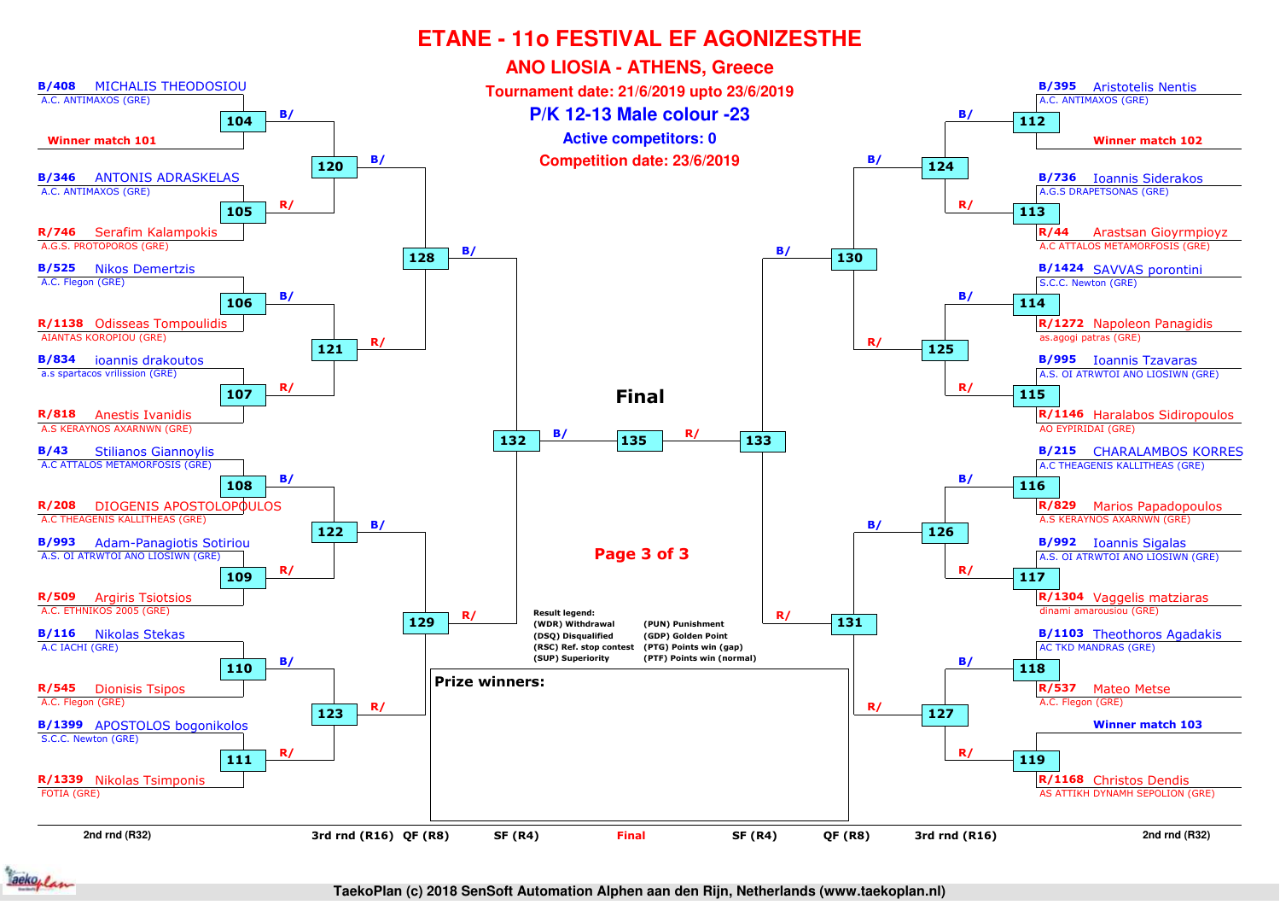

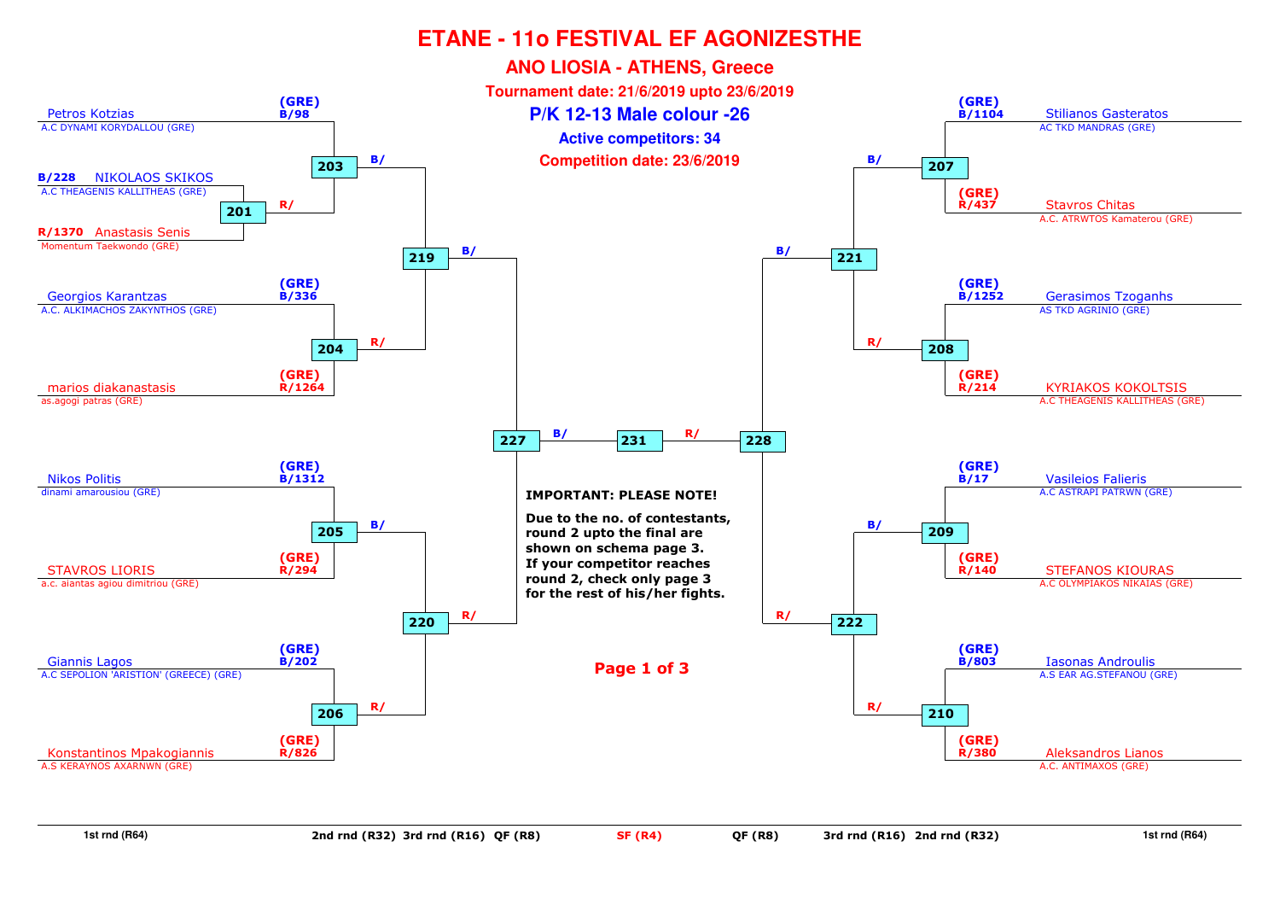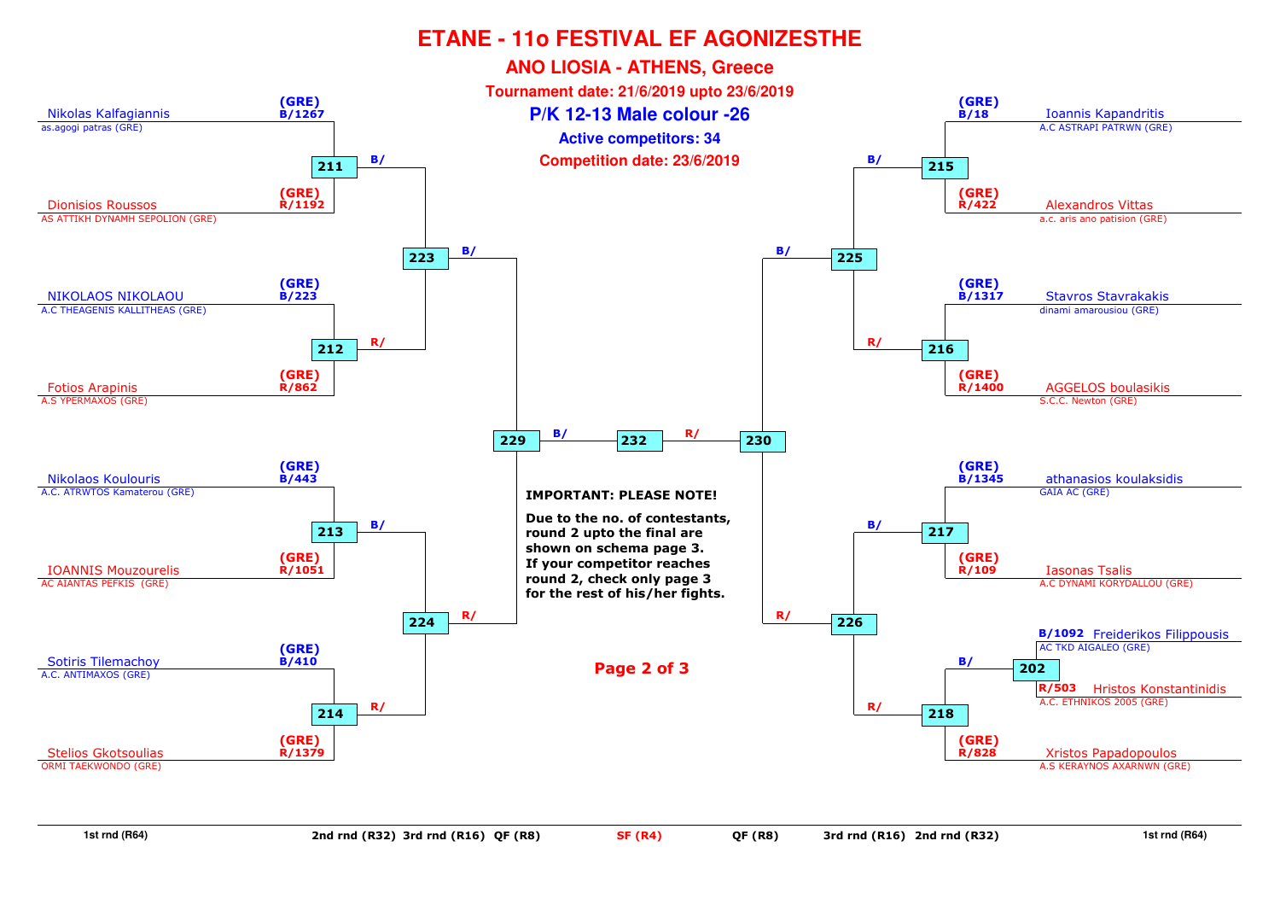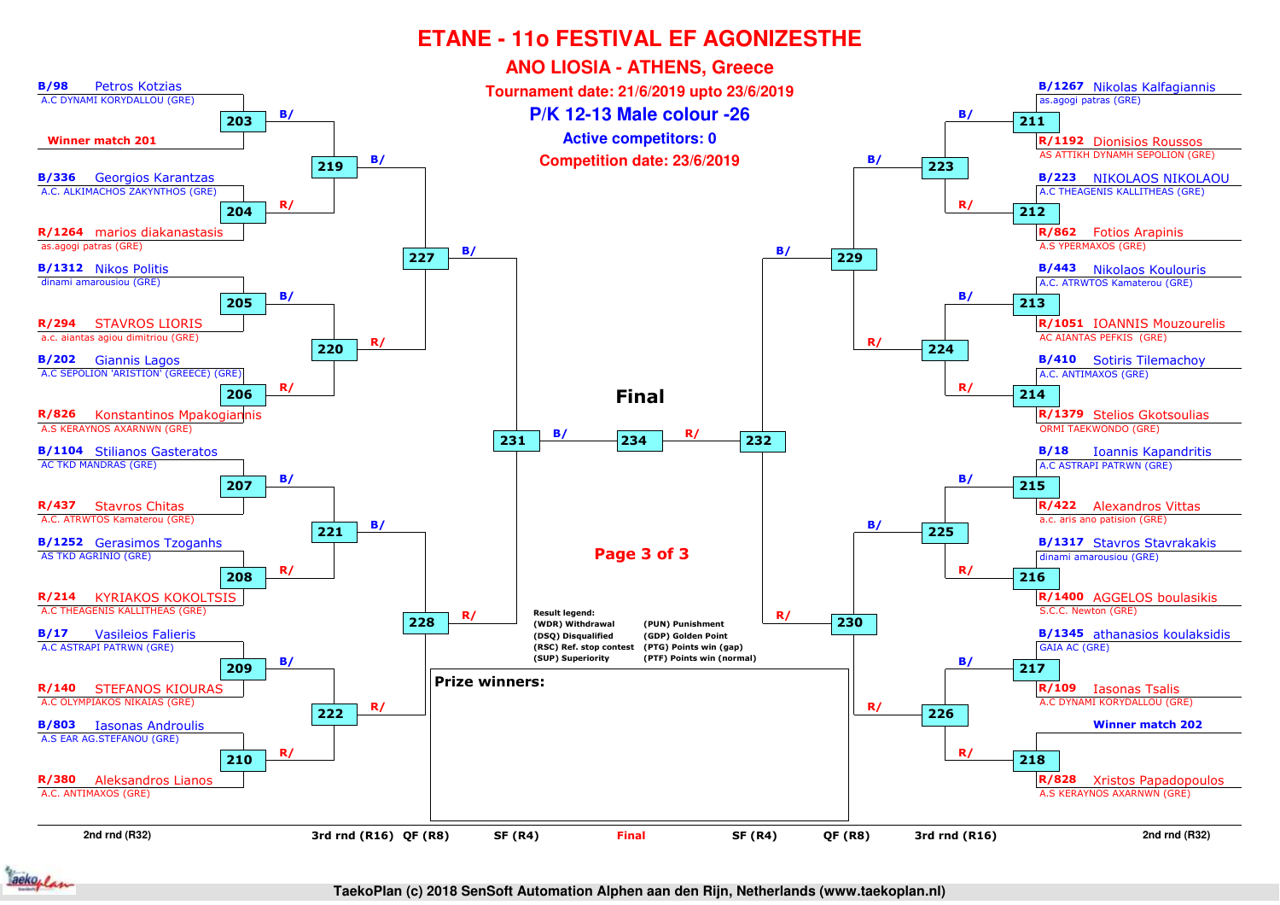

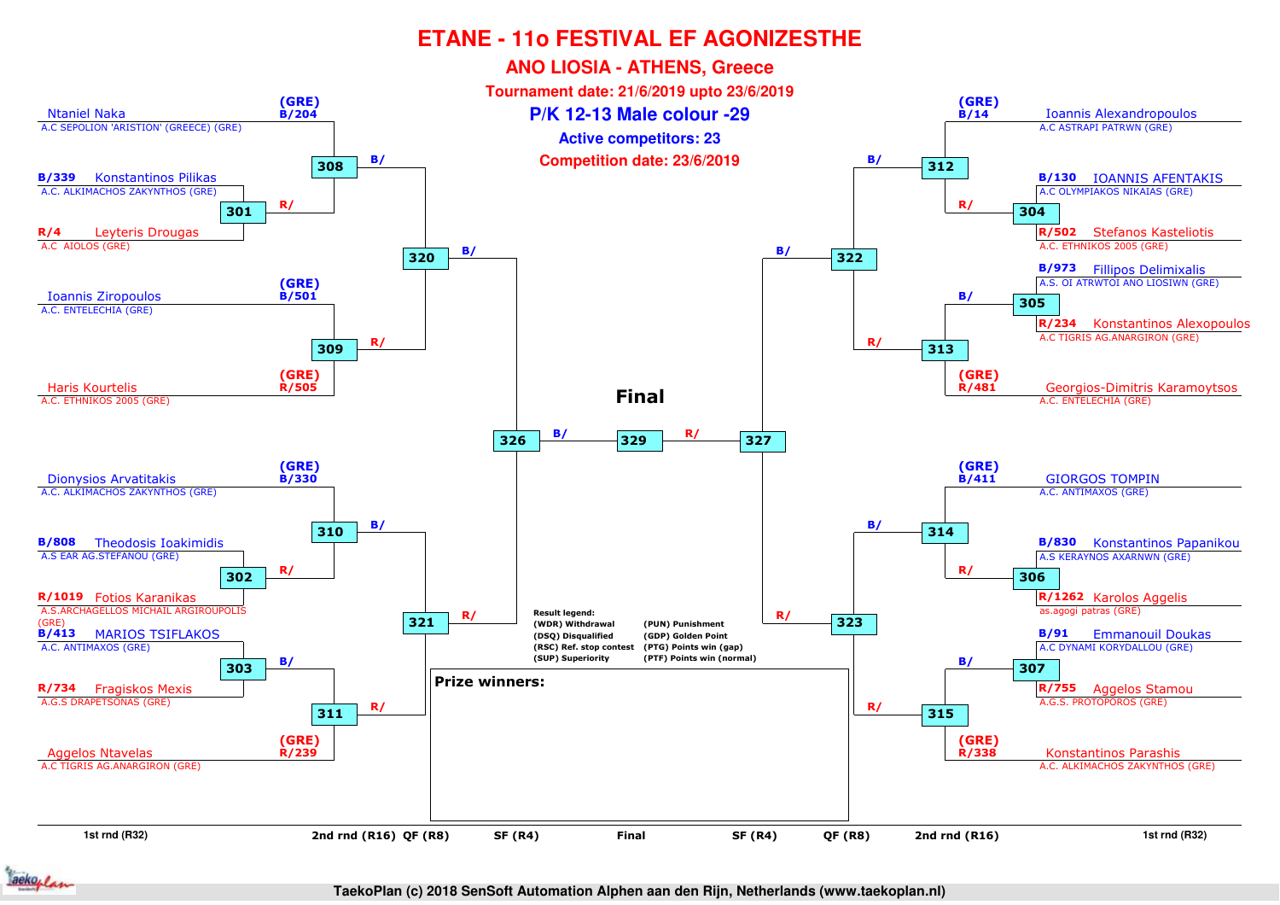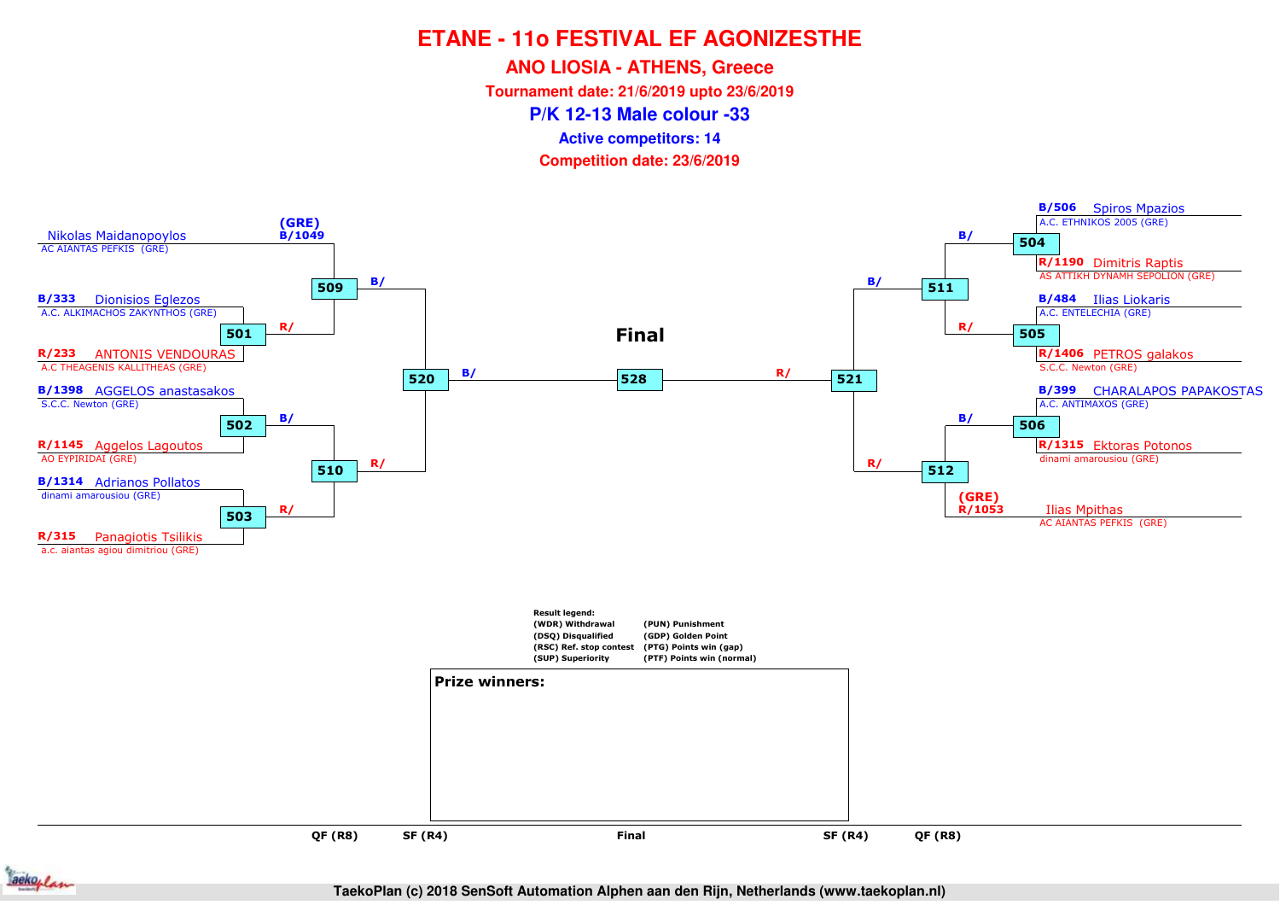**ANO LIOSIA - ATHENS, Greece**

**Tournament date: 21/6/2019 upto 23/6/2019**

**P/K 12-13 Male colour -33**

**Active competitors: 14**

**Competition date: 23/6/2019**



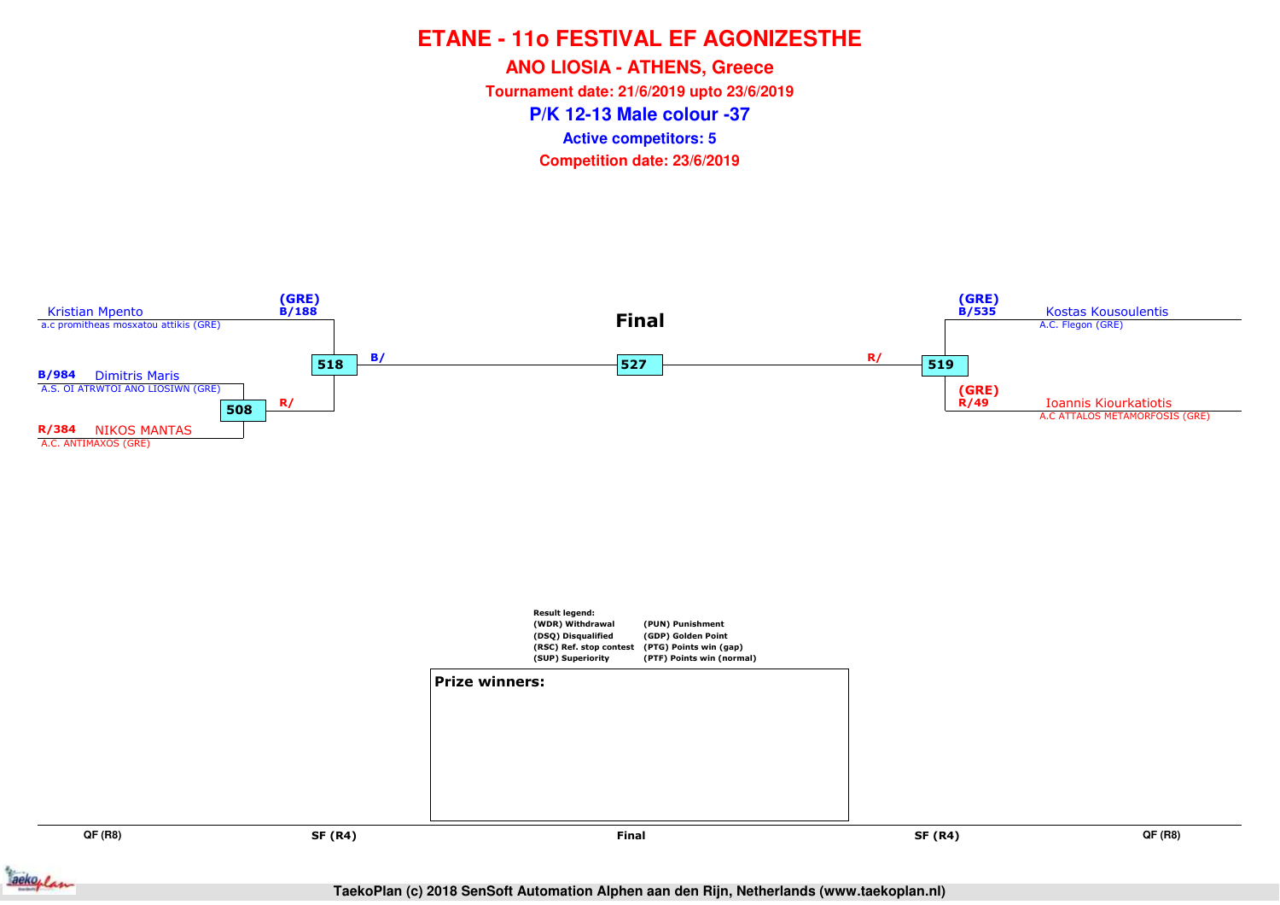**ANO LIOSIA - ATHENS, Greece**

**Tournament date: 21/6/2019 upto 23/6/2019**

**P/K 12-13 Male colour -37**

**Active competitors: 5**

**Competition date: 23/6/2019**



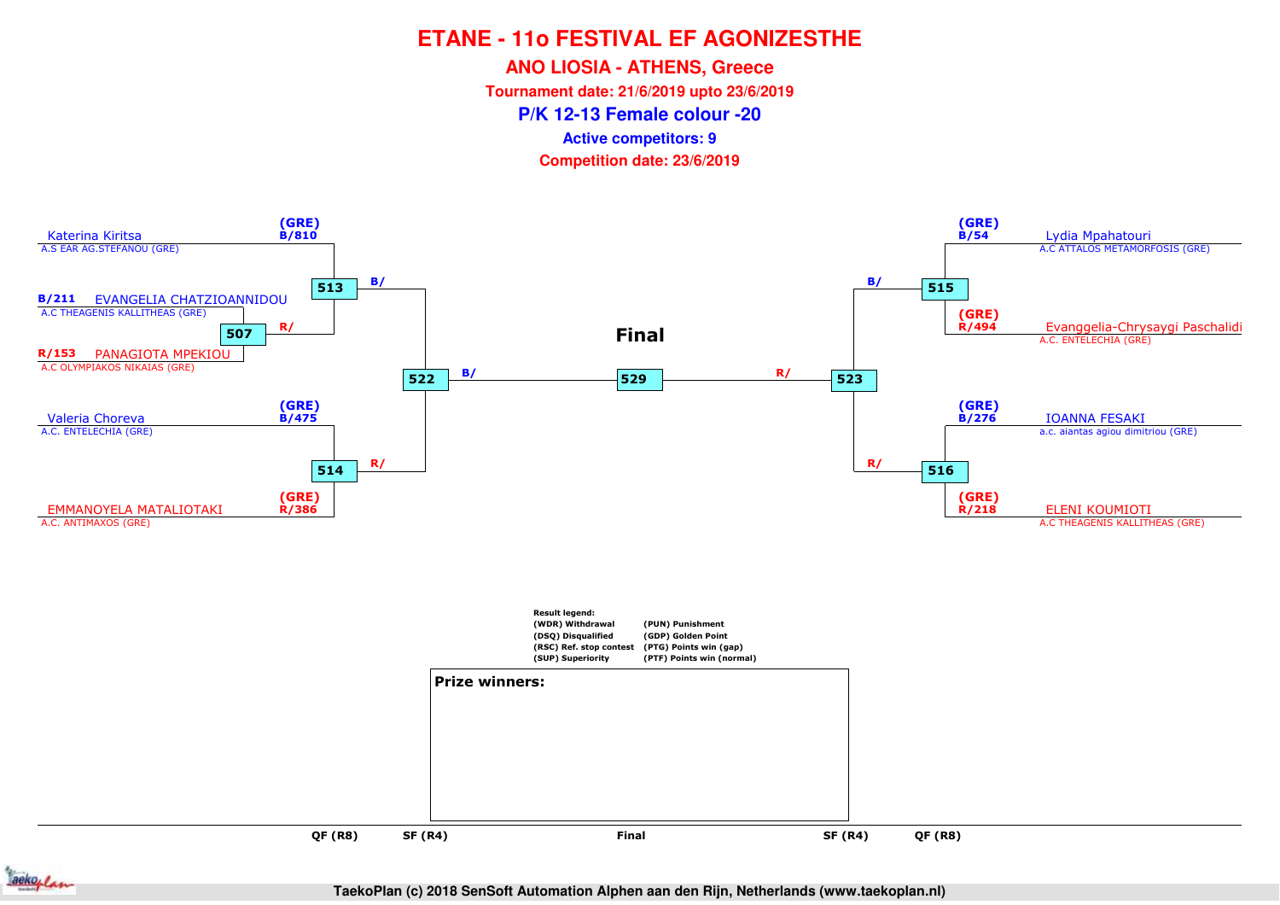**ANO LIOSIA - ATHENS, Greece**

**Tournament date: 21/6/2019 upto 23/6/2019**

**P/K 12-13 Female colour -20**

**Active competitors: 9**

**Competition date: 23/6/2019**



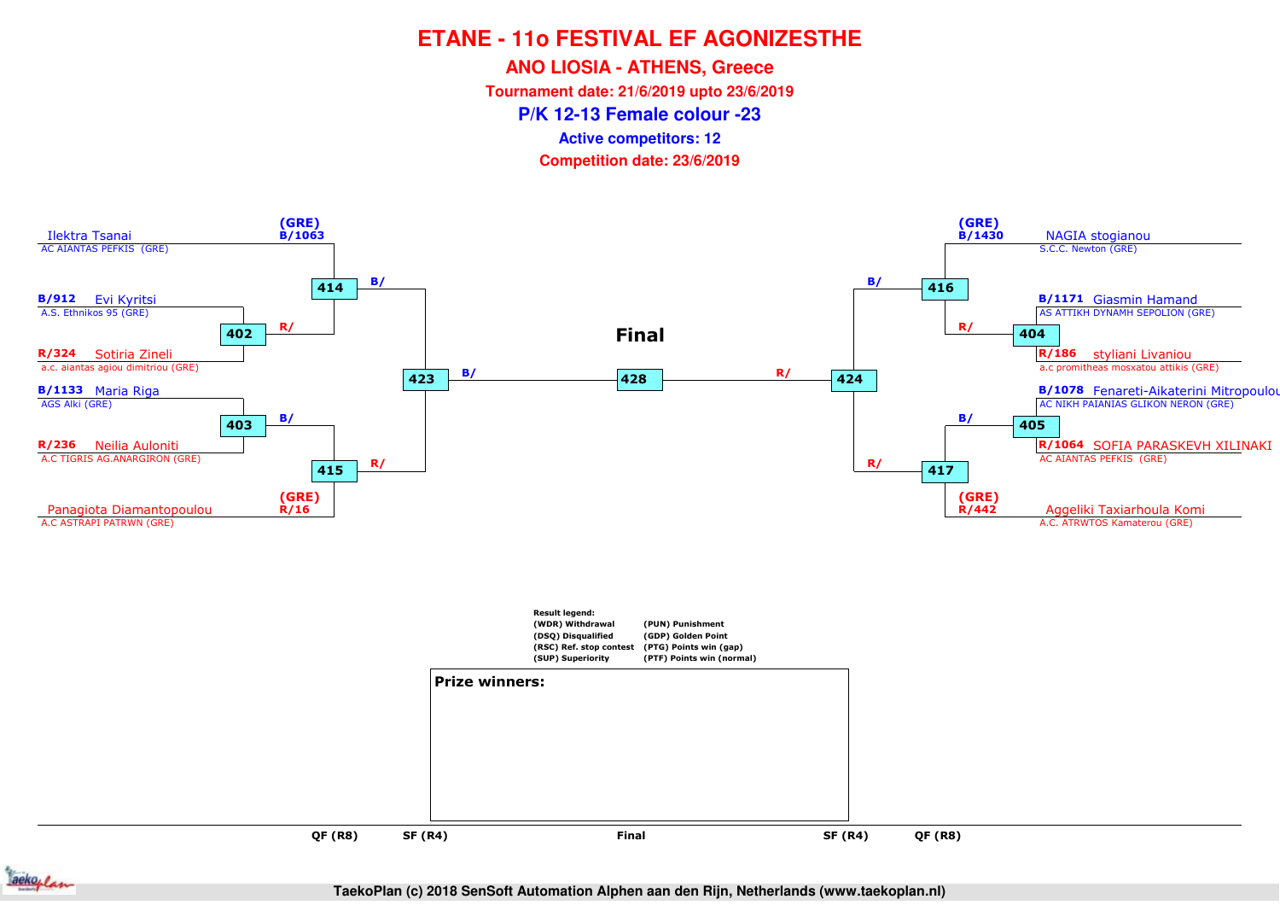**ANO LIOSIA - ATHENS, Greece**

**Tournament date: 21/6/2019 upto 23/6/2019**

**P/K 12-13 Female colour -23**

**Active competitors: 12**

**Competition date: 23/6/2019**



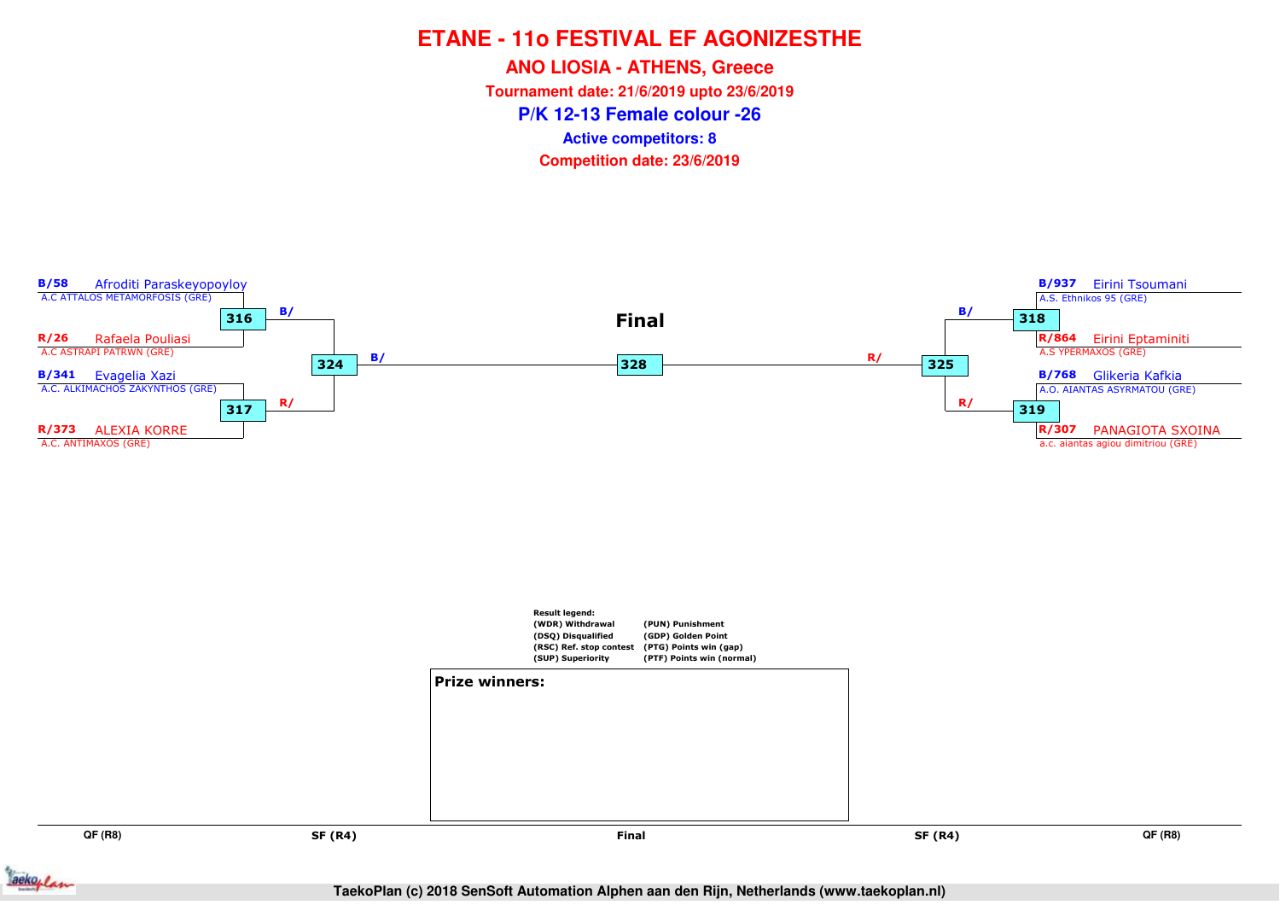**ANO LIOSIA - ATHENS, Greece**

**Tournament date: 21/6/2019 upto 23/6/2019**

**P/K 12-13 Female colour -26**

**Active competitors: 8**

**Competition date: 23/6/2019**



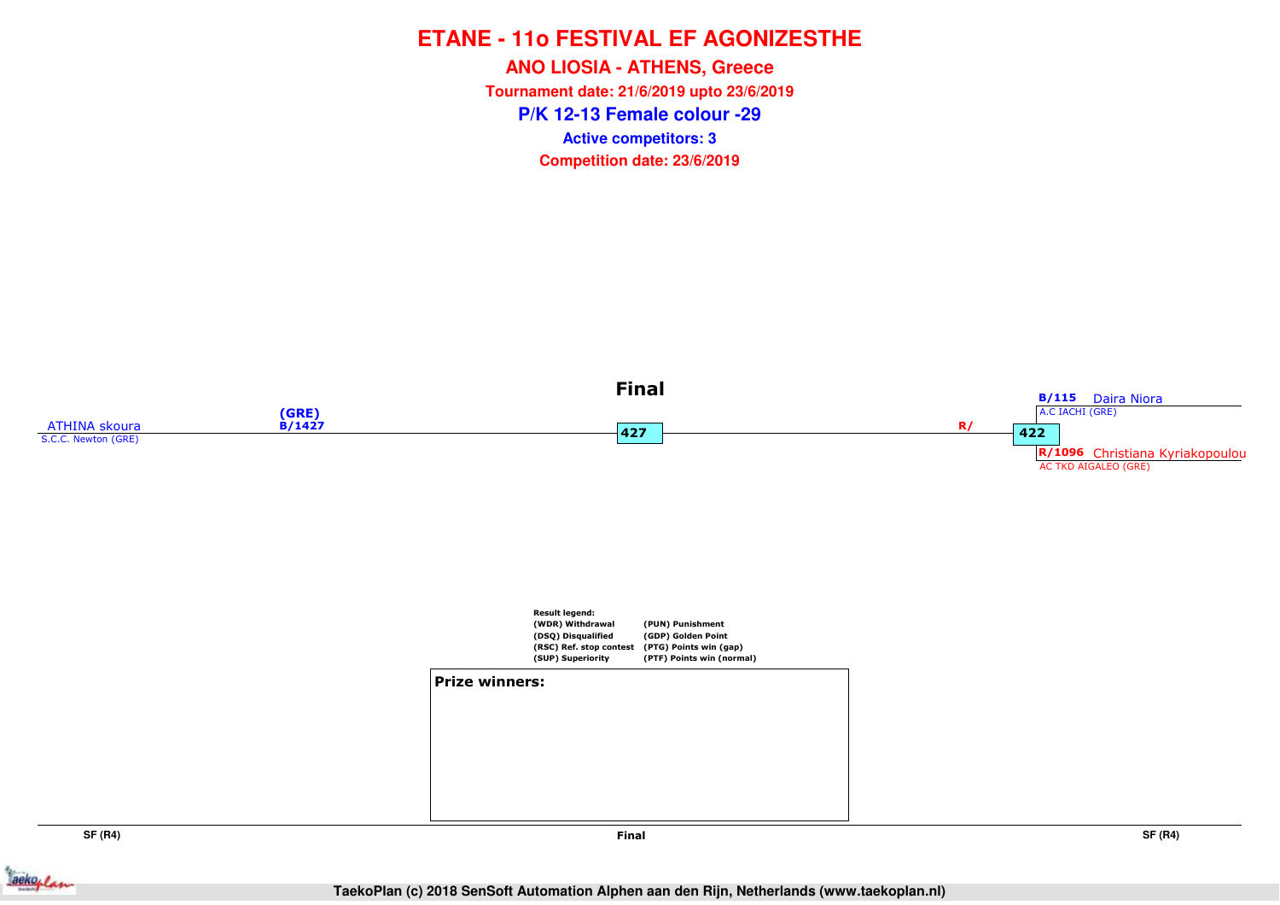**P/K 12-13 Female colour -29ANO LIOSIA - ATHENS, Greece Tournament date: 21/6/2019 upto 23/6/2019Competition date: 23/6/2019 Active competitors: 3**



**SF (R4)**

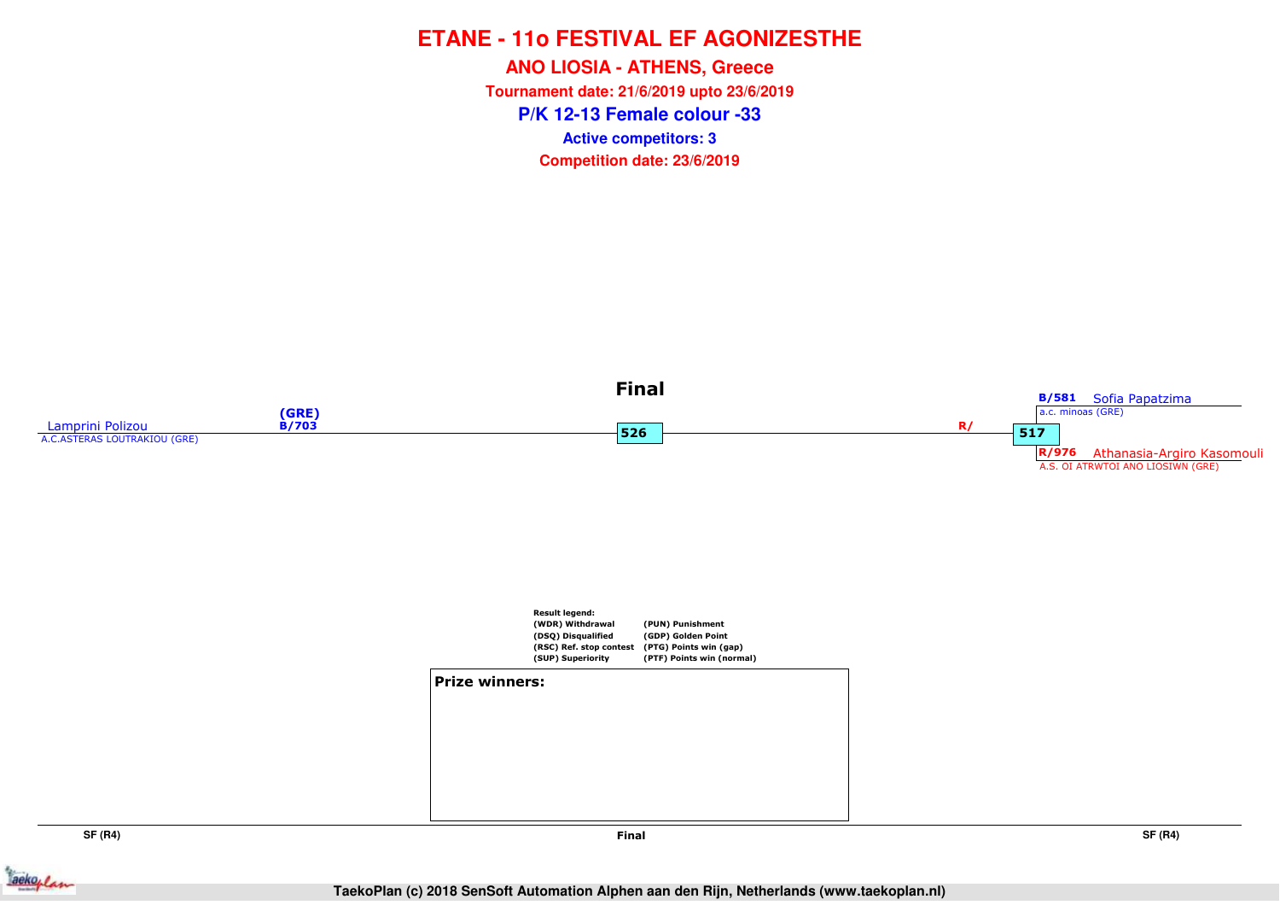**P/K 12-13 Female colour -33ANO LIOSIA - ATHENS, Greece Tournament date: 21/6/2019 upto 23/6/2019Competition date: 23/6/2019 Active competitors: 3**



**SF (R4)**

**Final**